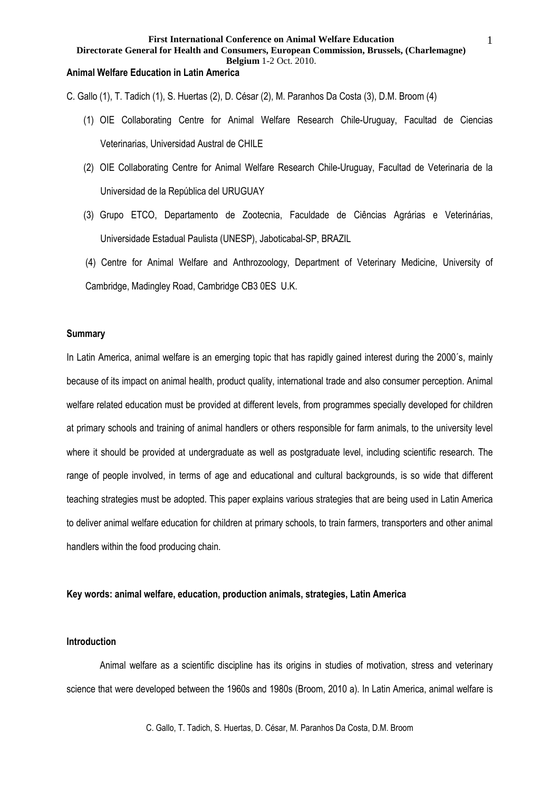**Directorate General for Health and Consumers, European Commission, Brussels, (Charlemagne) Belgium** 1-2 Oct. 2010.

## **Animal Welfare Education in Latin America**

C. Gallo (1), T. Tadich (1), S. Huertas (2), D. César (2), M. Paranhos Da Costa (3), D.M. Broom (4)

- (1) OIE Collaborating Centre for Animal Welfare Research Chile-Uruguay, Facultad de Ciencias Veterinarias, Universidad Austral de CHILE
- (2) OIE Collaborating Centre for Animal Welfare Research Chile-Uruguay, Facultad de Veterinaria de la Universidad de la República del URUGUAY
- (3) Grupo ETCO, Departamento de Zootecnia, Faculdade de Ciências Agrárias e Veterinárias, Universidade Estadual Paulista (UNESP), Jaboticabal-SP, BRAZIL
- (4) Centre for Animal Welfare and Anthrozoology, Department of Veterinary Medicine, University of Cambridge, Madingley Road, Cambridge CB3 0ES U.K.

### **Summary**

In Latin America, animal welfare is an emerging topic that has rapidly gained interest during the 2000´s, mainly because of its impact on animal health, product quality, international trade and also consumer perception. Animal welfare related education must be provided at different levels, from programmes specially developed for children at primary schools and training of animal handlers or others responsible for farm animals, to the university level where it should be provided at undergraduate as well as postgraduate level, including scientific research. The range of people involved, in terms of age and educational and cultural backgrounds, is so wide that different teaching strategies must be adopted. This paper explains various strategies that are being used in Latin America to deliver animal welfare education for children at primary schools, to train farmers, transporters and other animal handlers within the food producing chain.

## **Key words: animal welfare, education, production animals, strategies, Latin America**

## **Introduction**

 Animal welfare as a scientific discipline has its origins in studies of motivation, stress and veterinary science that were developed between the 1960s and 1980s (Broom, 2010 a). In Latin America, animal welfare is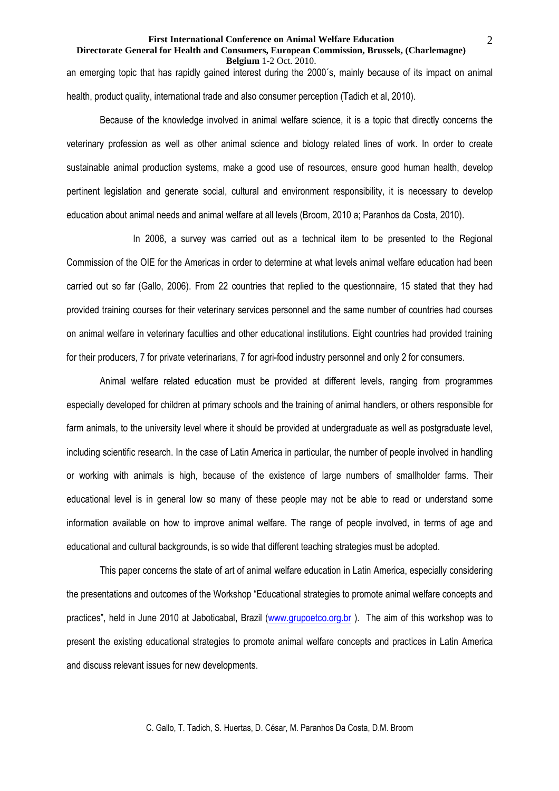### **Directorate General for Health and Consumers, European Commission, Brussels, (Charlemagne) Belgium** 1-2 Oct. 2010.

an emerging topic that has rapidly gained interest during the 2000´s, mainly because of its impact on animal health, product quality, international trade and also consumer perception (Tadich et al, 2010).

Because of the knowledge involved in animal welfare science, it is a topic that directly concerns the veterinary profession as well as other animal science and biology related lines of work. In order to create sustainable animal production systems, make a good use of resources, ensure good human health, develop pertinent legislation and generate social, cultural and environment responsibility, it is necessary to develop education about animal needs and animal welfare at all levels (Broom, 2010 a; Paranhos da Costa, 2010).

 In 2006, a survey was carried out as a technical item to be presented to the Regional Commission of the OIE for the Americas in order to determine at what levels animal welfare education had been carried out so far (Gallo, 2006). From 22 countries that replied to the questionnaire, 15 stated that they had provided training courses for their veterinary services personnel and the same number of countries had courses on animal welfare in veterinary faculties and other educational institutions. Eight countries had provided training for their producers, 7 for private veterinarians, 7 for agri-food industry personnel and only 2 for consumers.

Animal welfare related education must be provided at different levels, ranging from programmes especially developed for children at primary schools and the training of animal handlers, or others responsible for farm animals, to the university level where it should be provided at undergraduate as well as postgraduate level, including scientific research. In the case of Latin America in particular, the number of people involved in handling or working with animals is high, because of the existence of large numbers of smallholder farms. Their educational level is in general low so many of these people may not be able to read or understand some information available on how to improve animal welfare. The range of people involved, in terms of age and educational and cultural backgrounds, is so wide that different teaching strategies must be adopted.

This paper concerns the state of art of animal welfare education in Latin America, especially considering the presentations and outcomes of the Workshop "Educational strategies to promote animal welfare concepts and practices", held in June 2010 at Jaboticabal, Brazil (www.grupoetco.org.br). The aim of this workshop was to present the existing educational strategies to promote animal welfare concepts and practices in Latin America and discuss relevant issues for new developments.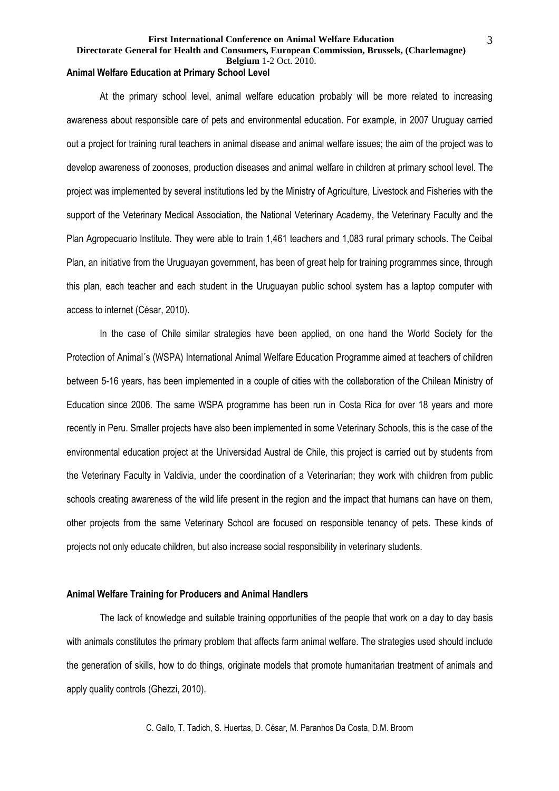# **Directorate General for Health and Consumers, European Commission, Brussels, (Charlemagne)**

**Belgium** 1-2 Oct. 2010.

# **Animal Welfare Education at Primary School Level**

 At the primary school level, animal welfare education probably will be more related to increasing awareness about responsible care of pets and environmental education. For example, in 2007 Uruguay carried out a project for training rural teachers in animal disease and animal welfare issues; the aim of the project was to develop awareness of zoonoses, production diseases and animal welfare in children at primary school level. The project was implemented by several institutions led by the Ministry of Agriculture, Livestock and Fisheries with the support of the Veterinary Medical Association, the National Veterinary Academy, the Veterinary Faculty and the Plan Agropecuario Institute. They were able to train 1,461 teachers and 1,083 rural primary schools. The Ceibal Plan, an initiative from the Uruguayan government, has been of great help for training programmes since, through this plan, each teacher and each student in the Uruguayan public school system has a laptop computer with access to internet (César, 2010).

 In the case of Chile similar strategies have been applied, on one hand the World Society for the Protection of Animal´s (WSPA) International Animal Welfare Education Programme aimed at teachers of children between 5-16 years, has been implemented in a couple of cities with the collaboration of the Chilean Ministry of Education since 2006. The same WSPA programme has been run in Costa Rica for over 18 years and more recently in Peru. Smaller projects have also been implemented in some Veterinary Schools, this is the case of the environmental education project at the Universidad Austral de Chile, this project is carried out by students from the Veterinary Faculty in Valdivia, under the coordination of a Veterinarian; they work with children from public schools creating awareness of the wild life present in the region and the impact that humans can have on them, other projects from the same Veterinary School are focused on responsible tenancy of pets. These kinds of projects not only educate children, but also increase social responsibility in veterinary students.

## **Animal Welfare Training for Producers and Animal Handlers**

 The lack of knowledge and suitable training opportunities of the people that work on a day to day basis with animals constitutes the primary problem that affects farm animal welfare. The strategies used should include the generation of skills, how to do things, originate models that promote humanitarian treatment of animals and apply quality controls (Ghezzi, 2010).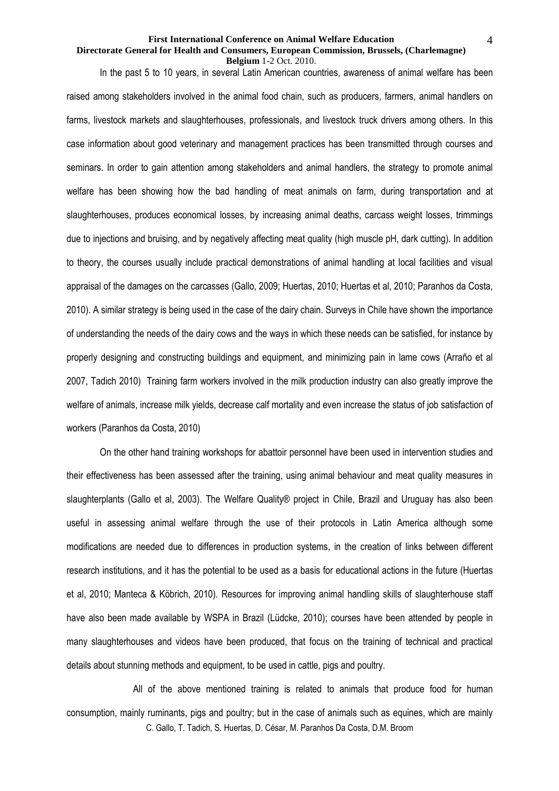### **Directorate General for Health and Consumers, European Commission, Brussels, (Charlemagne) Belgium** 1-2 Oct. 2010.

In the past 5 to 10 years, in several Latin American countries, awareness of animal welfare has been raised among stakeholders involved in the animal food chain, such as producers, farmers, animal handlers on farms, livestock markets and slaughterhouses, professionals, and livestock truck drivers among others. In this case information about good veterinary and management practices has been transmitted through courses and seminars. In order to gain attention among stakeholders and animal handlers, the strategy to promote animal welfare has been showing how the bad handling of meat animals on farm, during transportation and at slaughterhouses, produces economical losses, by increasing animal deaths, carcass weight losses, trimmings due to injections and bruising, and by negatively affecting meat quality (high muscle pH, dark cutting). In addition to theory, the courses usually include practical demonstrations of animal handling at local facilities and visual appraisal of the damages on the carcasses (Gallo, 2009; Huertas, 2010; Huertas et al, 2010; Paranhos da Costa, 2010). A similar strategy is being used in the case of the dairy chain. Surveys in Chile have shown the importance of understanding the needs of the dairy cows and the ways in which these needs can be satisfied, for instance by properly designing and constructing buildings and equipment, and minimizing pain in lame cows (Arraño et al 2007, Tadich 2010) Training farm workers involved in the milk production industry can also greatly improve the welfare of animals, increase milk yields, decrease calf mortality and even increase the status of job satisfaction of workers (Paranhos da Costa, 2010)

On the other hand training workshops for abattoir personnel have been used in intervention studies and their effectiveness has been assessed after the training, using animal behaviour and meat quality measures in slaughterplants (Gallo et al, 2003). The Welfare Quality® project in Chile, Brazil and Uruguay has also been useful in assessing animal welfare through the use of their protocols in Latin America although some modifications are needed due to differences in production systems, in the creation of links between different research institutions, and it has the potential to be used as a basis for educational actions in the future (Huertas et al, 2010; Manteca & Köbrich, 2010). Resources for improving animal handling skills of slaughterhouse staff have also been made available by WSPA in Brazil (Lüdcke, 2010); courses have been attended by people in many slaughterhouses and videos have been produced, that focus on the training of technical and practical details about stunning methods and equipment, to be used in cattle, pigs and poultry.

C. Gallo, T. Tadich, S. Huertas, D. César, M. Paranhos Da Costa, D.M. Broom All of the above mentioned training is related to animals that produce food for human consumption, mainly ruminants, pigs and poultry; but in the case of animals such as equines, which are mainly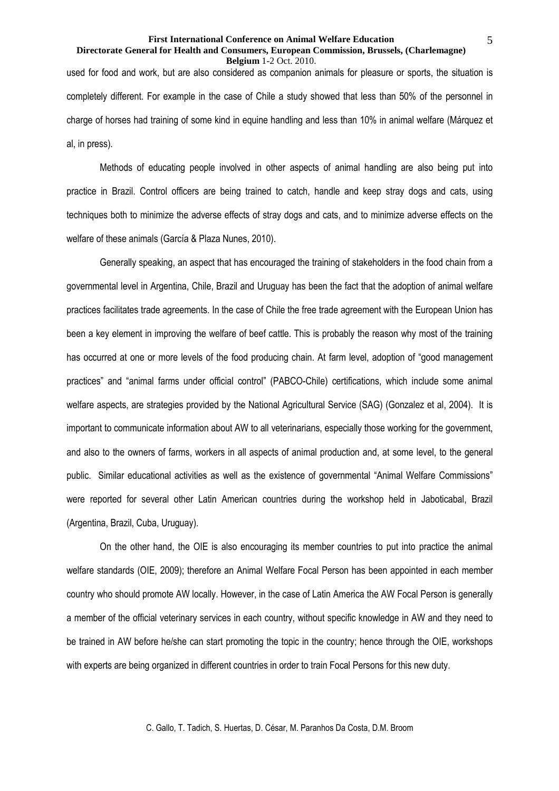### **Directorate General for Health and Consumers, European Commission, Brussels, (Charlemagne) Belgium** 1-2 Oct. 2010.

used for food and work, but are also considered as companion animals for pleasure or sports, the situation is completely different. For example in the case of Chile a study showed that less than 50% of the personnel in charge of horses had training of some kind in equine handling and less than 10% in animal welfare (Márquez et al, in press).

Methods of educating people involved in other aspects of animal handling are also being put into practice in Brazil. Control officers are being trained to catch, handle and keep stray dogs and cats, using techniques both to minimize the adverse effects of stray dogs and cats, and to minimize adverse effects on the welfare of these animals (García & Plaza Nunes, 2010).

Generally speaking, an aspect that has encouraged the training of stakeholders in the food chain from a governmental level in Argentina, Chile, Brazil and Uruguay has been the fact that the adoption of animal welfare practices facilitates trade agreements. In the case of Chile the free trade agreement with the European Union has been a key element in improving the welfare of beef cattle. This is probably the reason why most of the training has occurred at one or more levels of the food producing chain. At farm level, adoption of "good management practices" and "animal farms under official control" (PABCO-Chile) certifications, which include some animal welfare aspects, are strategies provided by the National Agricultural Service (SAG) (Gonzalez et al, 2004). It is important to communicate information about AW to all veterinarians, especially those working for the government, and also to the owners of farms, workers in all aspects of animal production and, at some level, to the general public. Similar educational activities as well as the existence of governmental "Animal Welfare Commissions" were reported for several other Latin American countries during the workshop held in Jaboticabal, Brazil (Argentina, Brazil, Cuba, Uruguay).

On the other hand, the OIE is also encouraging its member countries to put into practice the animal welfare standards (OIE, 2009); therefore an Animal Welfare Focal Person has been appointed in each member country who should promote AW locally. However, in the case of Latin America the AW Focal Person is generally a member of the official veterinary services in each country, without specific knowledge in AW and they need to be trained in AW before he/she can start promoting the topic in the country; hence through the OIE, workshops with experts are being organized in different countries in order to train Focal Persons for this new duty.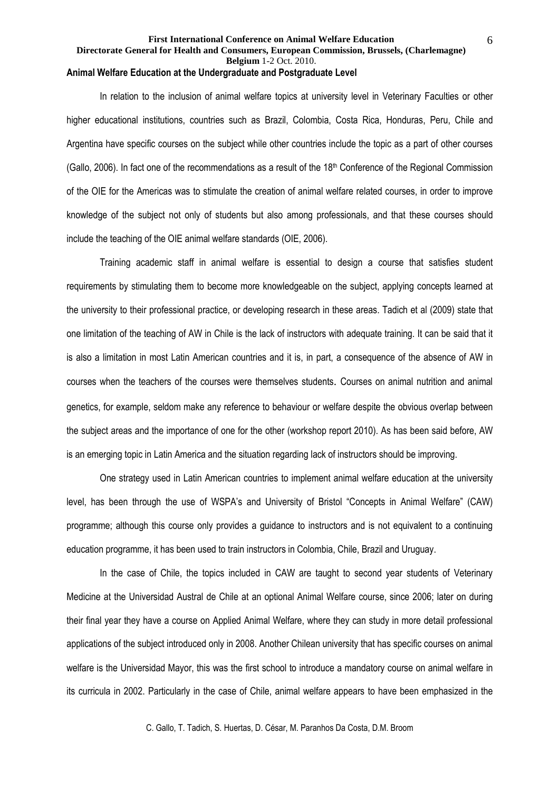### **First International Conference on Animal Welfare Education Directorate General for Health and Consumers, European Commission, Brussels, (Charlemagne) Belgium** 1-2 Oct. 2010. **Animal Welfare Education at the Undergraduate and Postgraduate Level**

 In relation to the inclusion of animal welfare topics at university level in Veterinary Faculties or other higher educational institutions, countries such as Brazil, Colombia, Costa Rica, Honduras, Peru, Chile and Argentina have specific courses on the subject while other countries include the topic as a part of other courses (Gallo, 2006). In fact one of the recommendations as a result of the 18<sup>th</sup> Conference of the Regional Commission of the OIE for the Americas was to stimulate the creation of animal welfare related courses, in order to improve knowledge of the subject not only of students but also among professionals, and that these courses should include the teaching of the OIE animal welfare standards (OIE, 2006).

 Training academic staff in animal welfare is essential to design a course that satisfies student requirements by stimulating them to become more knowledgeable on the subject, applying concepts learned at the university to their professional practice, or developing research in these areas. Tadich et al (2009) state that one limitation of the teaching of AW in Chile is the lack of instructors with adequate training. It can be said that it is also a limitation in most Latin American countries and it is, in part, a consequence of the absence of AW in courses when the teachers of the courses were themselves students. Courses on animal nutrition and animal genetics, for example, seldom make any reference to behaviour or welfare despite the obvious overlap between the subject areas and the importance of one for the other (workshop report 2010). As has been said before, AW is an emerging topic in Latin America and the situation regarding lack of instructors should be improving.

One strategy used in Latin American countries to implement animal welfare education at the university level, has been through the use of WSPA's and University of Bristol "Concepts in Animal Welfare" (CAW) programme; although this course only provides a guidance to instructors and is not equivalent to a continuing education programme, it has been used to train instructors in Colombia, Chile, Brazil and Uruguay.

In the case of Chile, the topics included in CAW are taught to second year students of Veterinary Medicine at the Universidad Austral de Chile at an optional Animal Welfare course, since 2006; later on during their final year they have a course on Applied Animal Welfare, where they can study in more detail professional applications of the subject introduced only in 2008. Another Chilean university that has specific courses on animal welfare is the Universidad Mayor, this was the first school to introduce a mandatory course on animal welfare in its curricula in 2002. Particularly in the case of Chile, animal welfare appears to have been emphasized in the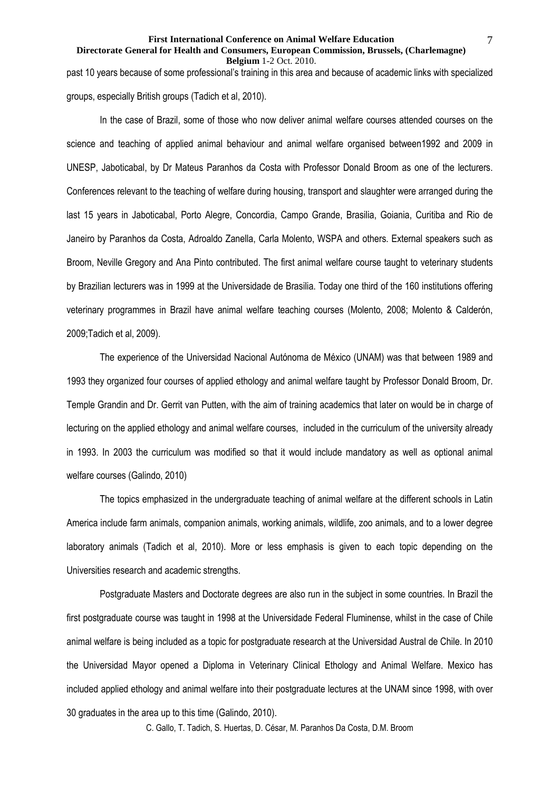### **Directorate General for Health and Consumers, European Commission, Brussels, (Charlemagne) Belgium** 1-2 Oct. 2010.

past 10 years because of some professional's training in this area and because of academic links with specialized groups, especially British groups (Tadich et al, 2010).

 In the case of Brazil, some of those who now deliver animal welfare courses attended courses on the science and teaching of applied animal behaviour and animal welfare organised between1992 and 2009 in UNESP, Jaboticabal, by Dr Mateus Paranhos da Costa with Professor Donald Broom as one of the lecturers. Conferences relevant to the teaching of welfare during housing, transport and slaughter were arranged during the last 15 years in Jaboticabal, Porto Alegre, Concordia, Campo Grande, Brasilia, Goiania, Curitiba and Rio de Janeiro by Paranhos da Costa, Adroaldo Zanella, Carla Molento, WSPA and others. External speakers such as Broom, Neville Gregory and Ana Pinto contributed. The first animal welfare course taught to veterinary students by Brazilian lecturers was in 1999 at the Universidade de Brasilia. Today one third of the 160 institutions offering veterinary programmes in Brazil have animal welfare teaching courses (Molento, 2008; Molento & Calderón, 2009;Tadich et al, 2009).

 The experience of the Universidad Nacional Autónoma de México (UNAM) was that between 1989 and 1993 they organized four courses of applied ethology and animal welfare taught by Professor Donald Broom, Dr. Temple Grandin and Dr. Gerrit van Putten, with the aim of training academics that later on would be in charge of lecturing on the applied ethology and animal welfare courses, included in the curriculum of the university already in 1993. In 2003 the curriculum was modified so that it would include mandatory as well as optional animal welfare courses (Galindo, 2010)

 The topics emphasized in the undergraduate teaching of animal welfare at the different schools in Latin America include farm animals, companion animals, working animals, wildlife, zoo animals, and to a lower degree laboratory animals (Tadich et al, 2010). More or less emphasis is given to each topic depending on the Universities research and academic strengths.

 Postgraduate Masters and Doctorate degrees are also run in the subject in some countries. In Brazil the first postgraduate course was taught in 1998 at the Universidade Federal Fluminense, whilst in the case of Chile animal welfare is being included as a topic for postgraduate research at the Universidad Austral de Chile. In 2010 the Universidad Mayor opened a Diploma in Veterinary Clinical Ethology and Animal Welfare. Mexico has included applied ethology and animal welfare into their postgraduate lectures at the UNAM since 1998, with over 30 graduates in the area up to this time (Galindo, 2010).

C. Gallo, T. Tadich, S. Huertas, D. César, M. Paranhos Da Costa, D.M. Broom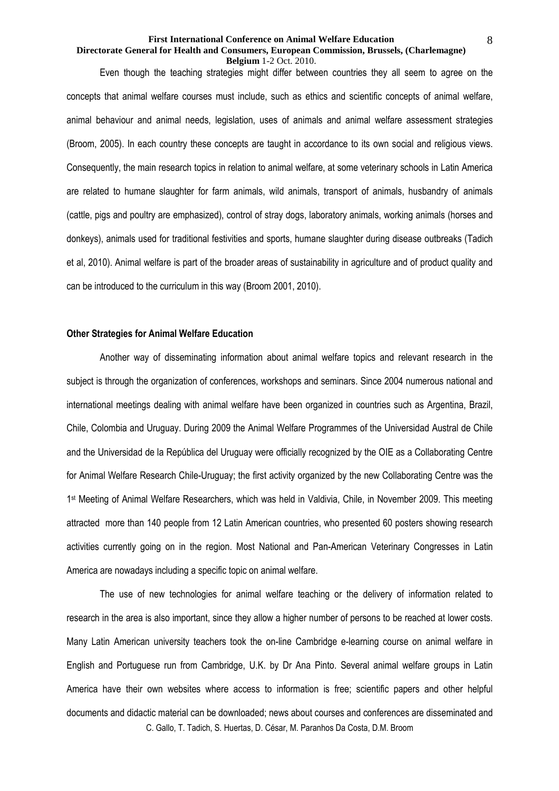### **Directorate General for Health and Consumers, European Commission, Brussels, (Charlemagne) Belgium** 1-2 Oct. 2010.

 Even though the teaching strategies might differ between countries they all seem to agree on the concepts that animal welfare courses must include, such as ethics and scientific concepts of animal welfare, animal behaviour and animal needs, legislation, uses of animals and animal welfare assessment strategies (Broom, 2005). In each country these concepts are taught in accordance to its own social and religious views. Consequently, the main research topics in relation to animal welfare, at some veterinary schools in Latin America are related to humane slaughter for farm animals, wild animals, transport of animals, husbandry of animals (cattle, pigs and poultry are emphasized), control of stray dogs, laboratory animals, working animals (horses and donkeys), animals used for traditional festivities and sports, humane slaughter during disease outbreaks (Tadich et al, 2010). Animal welfare is part of the broader areas of sustainability in agriculture and of product quality and can be introduced to the curriculum in this way (Broom 2001, 2010).

## **Other Strategies for Animal Welfare Education**

 Another way of disseminating information about animal welfare topics and relevant research in the subject is through the organization of conferences, workshops and seminars. Since 2004 numerous national and international meetings dealing with animal welfare have been organized in countries such as Argentina, Brazil, Chile, Colombia and Uruguay. During 2009 the Animal Welfare Programmes of the Universidad Austral de Chile and the Universidad de la República del Uruguay were officially recognized by the OIE as a Collaborating Centre for Animal Welfare Research Chile-Uruguay; the first activity organized by the new Collaborating Centre was the 1 st Meeting of Animal Welfare Researchers, which was held in Valdivia, Chile, in November 2009. This meeting attracted more than 140 people from 12 Latin American countries, who presented 60 posters showing research activities currently going on in the region. Most National and Pan-American Veterinary Congresses in Latin America are nowadays including a specific topic on animal welfare.

C. Gallo, T. Tadich, S. Huertas, D. César, M. Paranhos Da Costa, D.M. Broom The use of new technologies for animal welfare teaching or the delivery of information related to research in the area is also important, since they allow a higher number of persons to be reached at lower costs. Many Latin American university teachers took the on-line Cambridge e-learning course on animal welfare in English and Portuguese run from Cambridge, U.K. by Dr Ana Pinto. Several animal welfare groups in Latin America have their own websites where access to information is free; scientific papers and other helpful documents and didactic material can be downloaded; news about courses and conferences are disseminated and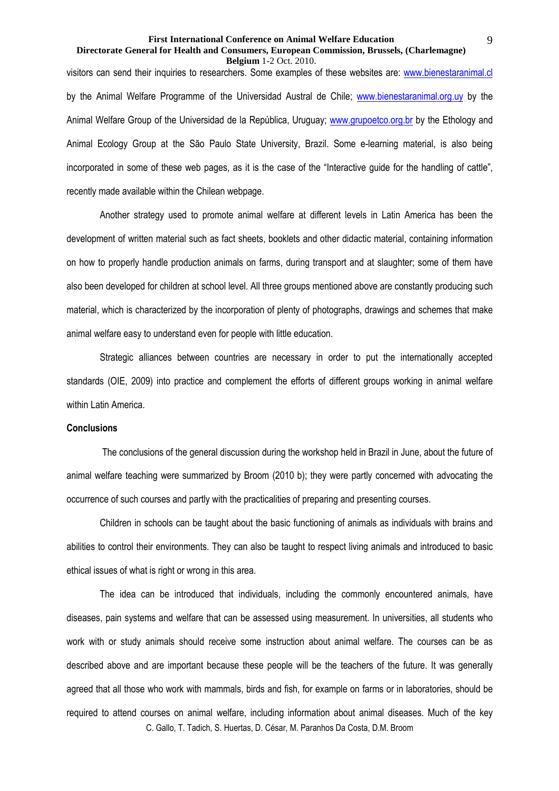### **Directorate General for Health and Consumers, European Commission, Brussels, (Charlemagne) Belgium** 1-2 Oct. 2010.

visitors can send their inquiries to researchers. Some examples of these websites are: www.bienestaranimal.cl by the Animal Welfare Programme of the Universidad Austral de Chile; www.bienestaranimal.org.uy by the Animal Welfare Group of the Universidad de la República, Uruguay; www.grupoetco.org.br by the Ethology and Animal Ecology Group at the São Paulo State University, Brazil. Some e-learning material, is also being incorporated in some of these web pages, as it is the case of the "Interactive guide for the handling of cattle", recently made available within the Chilean webpage.

 Another strategy used to promote animal welfare at different levels in Latin America has been the development of written material such as fact sheets, booklets and other didactic material, containing information on how to properly handle production animals on farms, during transport and at slaughter; some of them have also been developed for children at school level. All three groups mentioned above are constantly producing such material, which is characterized by the incorporation of plenty of photographs, drawings and schemes that make animal welfare easy to understand even for people with little education.

 Strategic alliances between countries are necessary in order to put the internationally accepted standards (OIE, 2009) into practice and complement the efforts of different groups working in animal welfare within Latin America.

## **Conclusions**

 The conclusions of the general discussion during the workshop held in Brazil in June, about the future of animal welfare teaching were summarized by Broom (2010 b); they were partly concerned with advocating the occurrence of such courses and partly with the practicalities of preparing and presenting courses.

Children in schools can be taught about the basic functioning of animals as individuals with brains and abilities to control their environments. They can also be taught to respect living animals and introduced to basic ethical issues of what is right or wrong in this area.

C. Gallo, T. Tadich, S. Huertas, D. César, M. Paranhos Da Costa, D.M. Broom The idea can be introduced that individuals, including the commonly encountered animals, have diseases, pain systems and welfare that can be assessed using measurement. In universities, all students who work with or study animals should receive some instruction about animal welfare. The courses can be as described above and are important because these people will be the teachers of the future. It was generally agreed that all those who work with mammals, birds and fish, for example on farms or in laboratories, should be required to attend courses on animal welfare, including information about animal diseases. Much of the key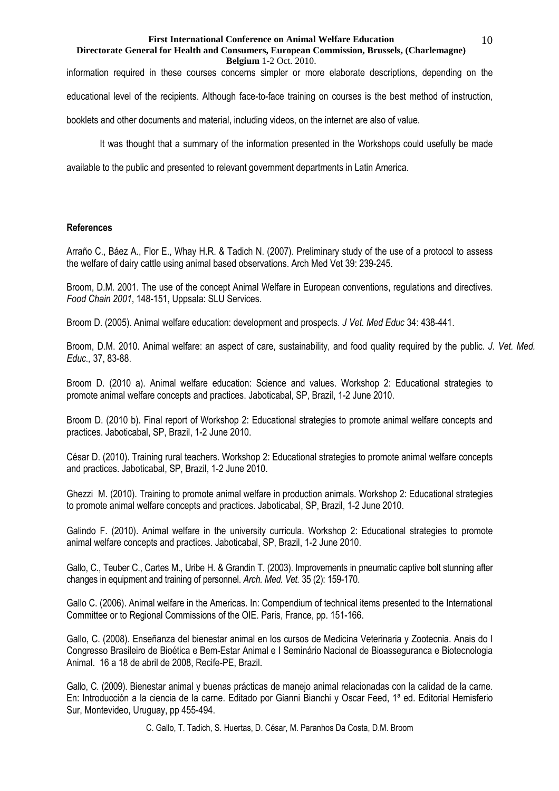### **Directorate General for Health and Consumers, European Commission, Brussels, (Charlemagne) Belgium** 1-2 Oct. 2010.

information required in these courses concerns simpler or more elaborate descriptions, depending on the educational level of the recipients. Although face-to-face training on courses is the best method of instruction,

booklets and other documents and material, including videos, on the internet are also of value.

It was thought that a summary of the information presented in the Workshops could usefully be made

available to the public and presented to relevant government departments in Latin America.

# **References**

Arraño C., Báez A., Flor E., Whay H.R. & Tadich N. (2007). Preliminary study of the use of a protocol to assess the welfare of dairy cattle using animal based observations. Arch Med Vet 39: 239-245.

Broom, D.M. 2001. The use of the concept Animal Welfare in European conventions, regulations and directives. *Food Chain 2001*, 148-151, Uppsala: SLU Services.

Broom D. (2005). Animal welfare education: development and prospects. *J Vet. Med Educ* 34: 438-441.

Broom, D.M. 2010. Animal welfare: an aspect of care, sustainability, and food quality required by the public. *J. Vet. Med. Educ.,* 37, 83-88.

Broom D. (2010 a). Animal welfare education: Science and values. Workshop 2: Educational strategies to promote animal welfare concepts and practices. Jaboticabal, SP, Brazil, 1-2 June 2010.

Broom D. (2010 b). Final report of Workshop 2: Educational strategies to promote animal welfare concepts and practices. Jaboticabal, SP, Brazil, 1-2 June 2010.

César D. (2010). Training rural teachers. Workshop 2: Educational strategies to promote animal welfare concepts and practices. Jaboticabal, SP, Brazil, 1-2 June 2010.

Ghezzi M. (2010). Training to promote animal welfare in production animals. Workshop 2: Educational strategies to promote animal welfare concepts and practices. Jaboticabal, SP, Brazil, 1-2 June 2010.

Galindo F. (2010). Animal welfare in the university curricula. Workshop 2: Educational strategies to promote animal welfare concepts and practices. Jaboticabal, SP, Brazil, 1-2 June 2010.

Gallo, C., Teuber C., Cartes M., Uribe H. & Grandin T. (2003). Improvements in pneumatic captive bolt stunning after changes in equipment and training of personnel. *Arch. Med. Vet.* 35 (2): 159-170.

Gallo C. (2006). Animal welfare in the Americas. In: Compendium of technical items presented to the International Committee or to Regional Commissions of the OIE. Paris, France, pp. 151-166.

Gallo, C. (2008). Enseñanza del bienestar animal en los cursos de Medicina Veterinaria y Zootecnia. Anais do I Congresso Brasileiro de Bioética e Bem-Estar Animal e I Seminário Nacional de Bioasseguranca e Biotecnologia Animal. 16 a 18 de abril de 2008, Recife-PE, Brazil.

Gallo, C. (2009). Bienestar animal y buenas prácticas de manejo animal relacionadas con la calidad de la carne. En: Introducción a la ciencia de la carne. Editado por Gianni Bianchi y Oscar Feed, 1ª ed. Editorial Hemisferio Sur, Montevideo, Uruguay, pp 455-494.

C. Gallo, T. Tadich, S. Huertas, D. César, M. Paranhos Da Costa, D.M. Broom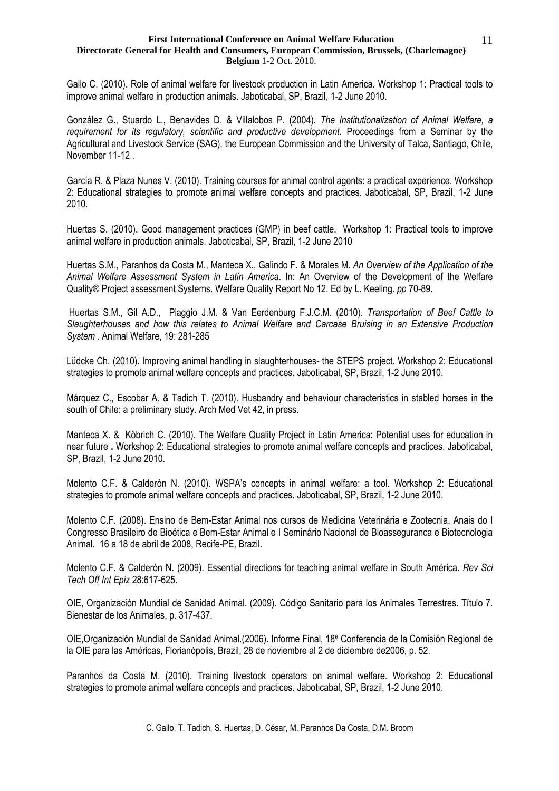### **First International Conference on Animal Welfare Education Directorate General for Health and Consumers, European Commission, Brussels, (Charlemagne) Belgium** 1-2 Oct. 2010.

Gallo C. (2010). Role of animal welfare for livestock production in Latin America. Workshop 1: Practical tools to improve animal welfare in production animals. Jaboticabal, SP, Brazil, 1-2 June 2010.

González G., Stuardo L., Benavides D. & Villalobos P. (2004). *The Institutionalization of Animal Welfare, a requirement for its regulatory, scientific and productive development.* Proceedings from a Seminar by the Agricultural and Livestock Service (SAG), the European Commission and the University of Talca, Santiago, Chile, November 11-12 .

García R. & Plaza Nunes V. (2010). Training courses for animal control agents: a practical experience. Workshop 2: Educational strategies to promote animal welfare concepts and practices. Jaboticabal, SP, Brazil, 1-2 June 2010.

Huertas S. (2010). Good management practices (GMP) in beef cattle. Workshop 1: Practical tools to improve animal welfare in production animals. Jaboticabal, SP, Brazil, 1-2 June 2010

Huertas S.M., Paranhos da Costa M., Manteca X., Galindo F. & Morales M. *An Overview of the Application of the Animal Welfare Assessment System in Latin America*. In: An Overview of the Development of the Welfare Quality® Project assessment Systems. Welfare Quality Report No 12. Ed by L. Keeling. *pp* 70-89.

 Huertas S.M., Gil A.D., Piaggio J.M. & Van Eerdenburg F.J.C.M. (2010). *Transportation of Beef Cattle to Slaughterhouses and how this relates to Animal Welfare and Carcase Bruising in an Extensive Production System* . Animal Welfare, 19: 281-285

Lüdcke Ch. (2010). Improving animal handling in slaughterhouses- the STEPS project. Workshop 2: Educational strategies to promote animal welfare concepts and practices. Jaboticabal, SP, Brazil, 1-2 June 2010.

Márquez C., Escobar A. & Tadich T. (2010). Husbandry and behaviour characteristics in stabled horses in the south of Chile: a preliminary study. Arch Med Vet 42, in press.

Manteca X. & Köbrich C. (2010). The Welfare Quality Project in Latin America: Potential uses for education in near future **.** Workshop 2: Educational strategies to promote animal welfare concepts and practices. Jaboticabal, SP, Brazil, 1-2 June 2010.

Molento C.F. & Calderón N. (2010). WSPA's concepts in animal welfare: a tool. Workshop 2: Educational strategies to promote animal welfare concepts and practices. Jaboticabal, SP, Brazil, 1-2 June 2010.

Molento C.F. (2008). Ensino de Bem-Estar Animal nos cursos de Medicina Veterinária e Zootecnia. Anais do I Congresso Brasileiro de Bioética e Bem-Estar Animal e I Seminário Nacional de Bioasseguranca e Biotecnologia Animal. 16 a 18 de abril de 2008, Recife-PE, Brazil.

Molento C.F. & Calderón N. (2009). Essential directions for teaching animal welfare in South América. *Rev Sci Tech Off Int Epiz* 28:617-625.

OIE, Organización Mundial de Sanidad Animal. (2009). Código Sanitario para los Animales Terrestres. Título 7. Bienestar de los Animales, p. 317-437.

OIE,Organización Mundial de Sanidad Animal.(2006). Informe Final, 18ª Conferencia de la Comisión Regional de la OIE para las Américas, Florianópolis, Brazil, 28 de noviembre al 2 de diciembre de2006, p. 52.

Paranhos da Costa M. (2010). Training livestock operators on animal welfare. Workshop 2: Educational strategies to promote animal welfare concepts and practices. Jaboticabal, SP, Brazil, 1-2 June 2010.